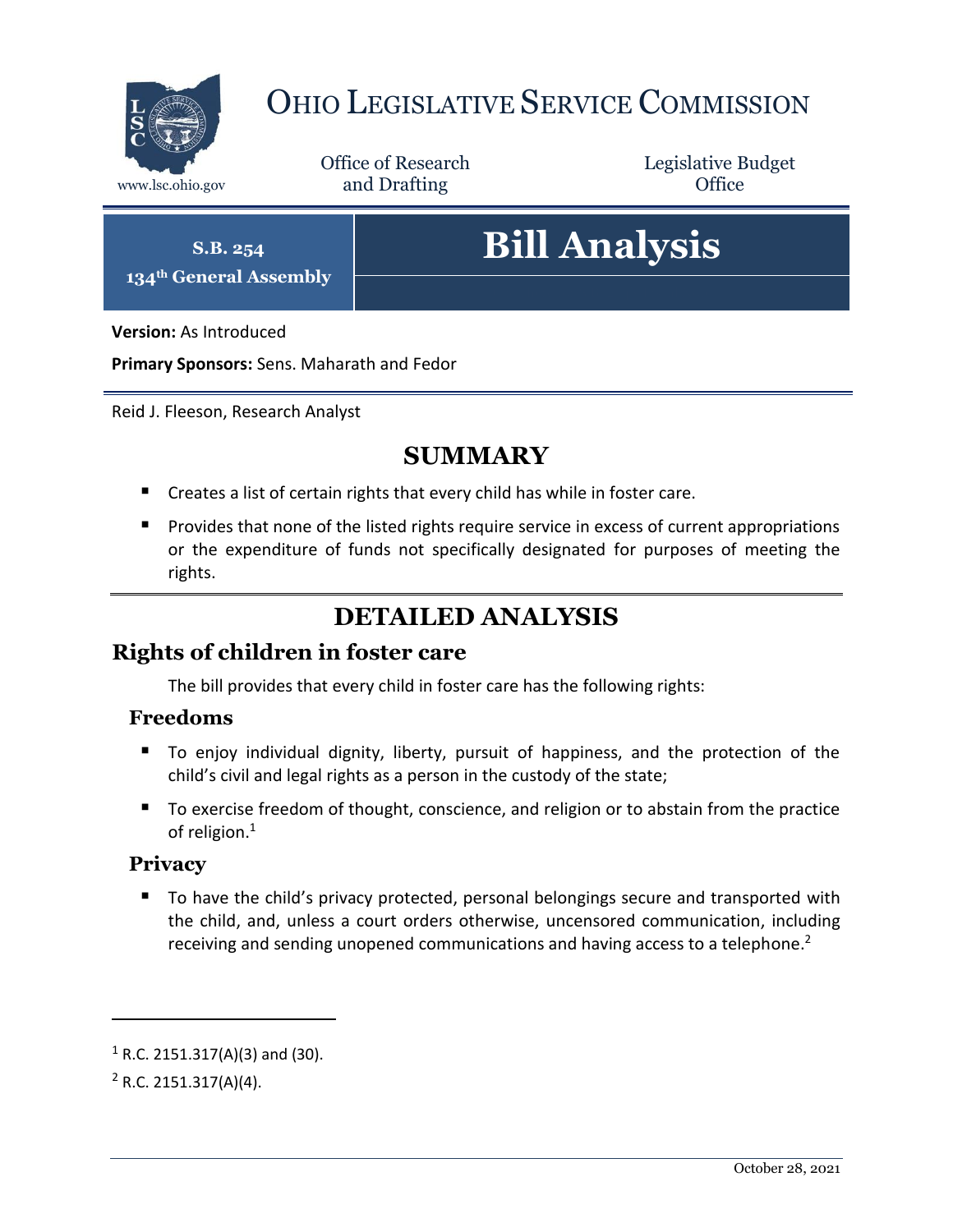

## OHIO LEGISLATIVE SERVICE COMMISSION

Office of Research www.lsc.ohio.gov **and Drafting Office** 

Legislative Budget

**S.B. 254 134th General Assembly**

# **Bill Analysis**

**Version:** As Introduced

**Primary Sponsors:** Sens. Maharath and Fedor

Reid J. Fleeson, Research Analyst

## **SUMMARY**

- Creates a list of certain rights that every child has while in foster care.
- **Provides that none of the listed rights require service in excess of current appropriations** or the expenditure of funds not specifically designated for purposes of meeting the rights.

## **DETAILED ANALYSIS**

#### **Rights of children in foster care**

The bill provides that every child in foster care has the following rights:

#### **Freedoms**

- To enjoy individual dignity, liberty, pursuit of happiness, and the protection of the child's civil and legal rights as a person in the custody of the state;
- To exercise freedom of thought, conscience, and religion or to abstain from the practice of religion.<sup>1</sup>

#### **Privacy**

■ To have the child's privacy protected, personal belongings secure and transported with the child, and, unless a court orders otherwise, uncensored communication, including receiving and sending unopened communications and having access to a telephone.<sup>2</sup>

 $1$  R.C. 2151.317(A)(3) and (30).

 $2$  R.C. 2151.317(A)(4).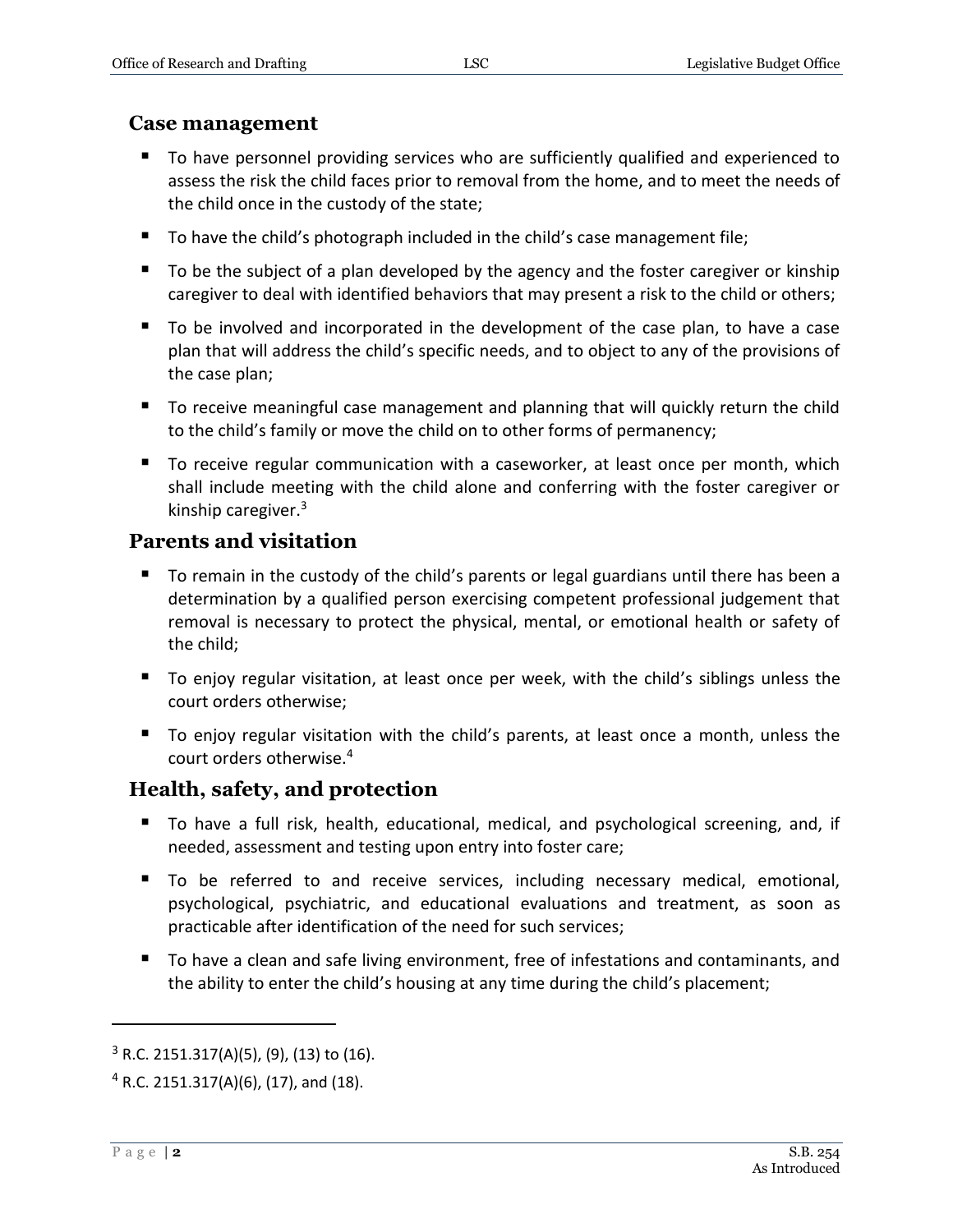#### **Case management**

- To have personnel providing services who are sufficiently qualified and experienced to assess the risk the child faces prior to removal from the home, and to meet the needs of the child once in the custody of the state;
- To have the child's photograph included in the child's case management file;
- To be the subject of a plan developed by the agency and the foster caregiver or kinship caregiver to deal with identified behaviors that may present a risk to the child or others;
- To be involved and incorporated in the development of the case plan, to have a case plan that will address the child's specific needs, and to object to any of the provisions of the case plan;
- To receive meaningful case management and planning that will quickly return the child to the child's family or move the child on to other forms of permanency;
- To receive regular communication with a caseworker, at least once per month, which shall include meeting with the child alone and conferring with the foster caregiver or kinship caregiver.<sup>3</sup>

#### **Parents and visitation**

- To remain in the custody of the child's parents or legal guardians until there has been a determination by a qualified person exercising competent professional judgement that removal is necessary to protect the physical, mental, or emotional health or safety of the child;
- To enjoy regular visitation, at least once per week, with the child's siblings unless the court orders otherwise;
- To enjoy regular visitation with the child's parents, at least once a month, unless the court orders otherwise.<sup>4</sup>

#### **Health, safety, and protection**

- To have a full risk, health, educational, medical, and psychological screening, and, if needed, assessment and testing upon entry into foster care;
- To be referred to and receive services, including necessary medical, emotional, psychological, psychiatric, and educational evaluations and treatment, as soon as practicable after identification of the need for such services;
- To have a clean and safe living environment, free of infestations and contaminants, and the ability to enter the child's housing at any time during the child's placement;

 $3$  R.C. 2151.317(A)(5), (9), (13) to (16).

 $4$  R.C. 2151.317(A)(6), (17), and (18).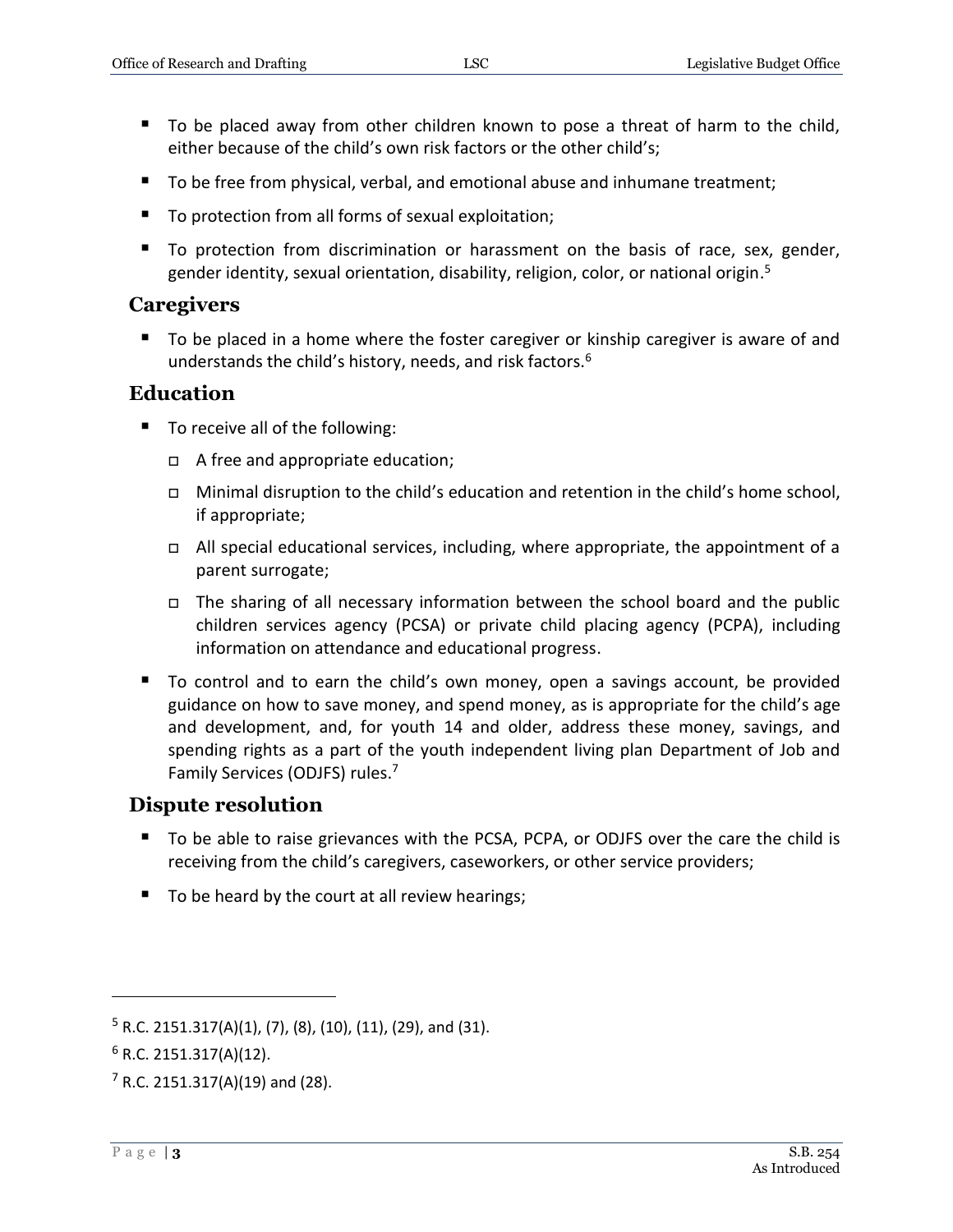- To be placed away from other children known to pose a threat of harm to the child, either because of the child's own risk factors or the other child's;
- To be free from physical, verbal, and emotional abuse and inhumane treatment;
- To protection from all forms of sexual exploitation;
- To protection from discrimination or harassment on the basis of race, sex, gender, gender identity, sexual orientation, disability, religion, color, or national origin. 5

#### **Caregivers**

■ To be placed in a home where the foster caregiver or kinship caregiver is aware of and understands the child's history, needs, and risk factors.<sup>6</sup>

#### **Education**

- To receive all of the following:
	- A free and appropriate education;
	- $\Box$  Minimal disruption to the child's education and retention in the child's home school, if appropriate;
	- All special educational services, including, where appropriate, the appointment of a parent surrogate;
	- The sharing of all necessary information between the school board and the public children services agency (PCSA) or private child placing agency (PCPA), including information on attendance and educational progress.
- To control and to earn the child's own money, open a savings account, be provided guidance on how to save money, and spend money, as is appropriate for the child's age and development, and, for youth 14 and older, address these money, savings, and spending rights as a part of the youth independent living plan Department of Job and Family Services (ODJFS) rules. 7

#### **Dispute resolution**

- To be able to raise grievances with the PCSA, PCPA, or ODJFS over the care the child is receiving from the child's caregivers, caseworkers, or other service providers;
- $\blacksquare$  To be heard by the court at all review hearings;

 $5$  R.C. 2151.317(A)(1), (7), (8), (10), (11), (29), and (31).

 $6$  R.C. 2151.317(A)(12).

 $7$  R.C. 2151.317(A)(19) and (28).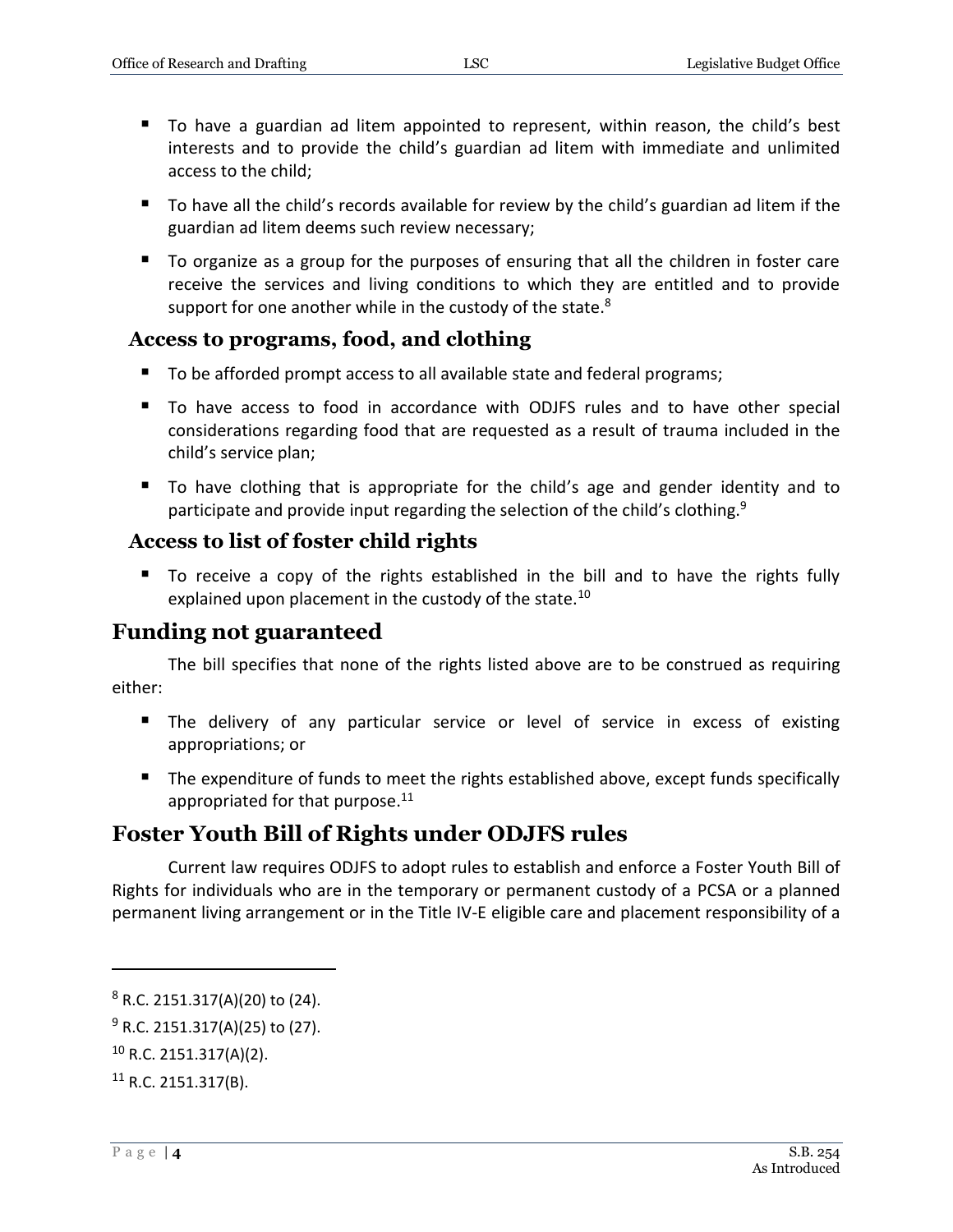- To have a guardian ad litem appointed to represent, within reason, the child's best interests and to provide the child's guardian ad litem with immediate and unlimited access to the child;
- To have all the child's records available for review by the child's guardian ad litem if the guardian ad litem deems such review necessary;
- To organize as a group for the purposes of ensuring that all the children in foster care receive the services and living conditions to which they are entitled and to provide support for one another while in the custody of the state.<sup>8</sup>

#### **Access to programs, food, and clothing**

- To be afforded prompt access to all available state and federal programs;
- To have access to food in accordance with ODJFS rules and to have other special considerations regarding food that are requested as a result of trauma included in the child's service plan;
- To have clothing that is appropriate for the child's age and gender identity and to participate and provide input regarding the selection of the child's clothing.<sup>9</sup>

#### **Access to list of foster child rights**

 To receive a copy of the rights established in the bill and to have the rights fully explained upon placement in the custody of the state.<sup>10</sup>

#### **Funding not guaranteed**

The bill specifies that none of the rights listed above are to be construed as requiring either:

- The delivery of any particular service or level of service in excess of existing appropriations; or
- The expenditure of funds to meet the rights established above, except funds specifically appropriated for that purpose.<sup>11</sup>

#### **Foster Youth Bill of Rights under ODJFS rules**

Current law requires ODJFS to adopt rules to establish and enforce a Foster Youth Bill of Rights for individuals who are in the temporary or permanent custody of a PCSA or a planned permanent living arrangement or in the Title IV-E eligible care and placement responsibility of a

<sup>8</sup> R.C. 2151.317(A)(20) to (24).

 $9$  R.C. 2151.317(A)(25) to (27).

<sup>10</sup> R.C. 2151.317(A)(2).

 $11$  R.C. 2151.317(B).